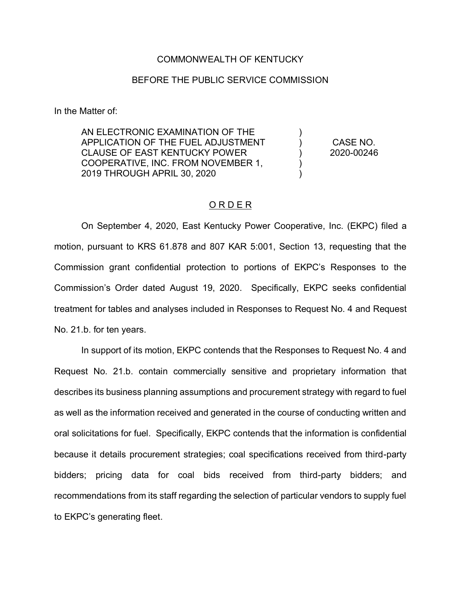## COMMONWEALTH OF KENTUCKY

## BEFORE THE PUBLIC SERVICE COMMISSION

In the Matter of:

AN ELECTRONIC EXAMINATION OF THE APPLICATION OF THE FUEL ADJUSTMENT CLAUSE OF EAST KENTUCKY POWER COOPERATIVE, INC. FROM NOVEMBER 1, 2019 THROUGH APRIL 30, 2020 ) ) ) ) )

CASE NO. 2020-00246

## O R D E R

On September 4, 2020, East Kentucky Power Cooperative, Inc. (EKPC) filed a motion, pursuant to KRS 61.878 and 807 KAR 5:001, Section 13, requesting that the Commission grant confidential protection to portions of EKPC's Responses to the Commission's Order dated August 19, 2020. Specifically, EKPC seeks confidential treatment for tables and analyses included in Responses to Request No. 4 and Request No. 21.b. for ten years.

In support of its motion, EKPC contends that the Responses to Request No. 4 and Request No. 21.b. contain commercially sensitive and proprietary information that describes its business planning assumptions and procurement strategy with regard to fuel as well as the information received and generated in the course of conducting written and oral solicitations for fuel. Specifically, EKPC contends that the information is confidential because it details procurement strategies; coal specifications received from third-party bidders; pricing data for coal bids received from third-party bidders; and recommendations from its staff regarding the selection of particular vendors to supply fuel to EKPC's generating fleet.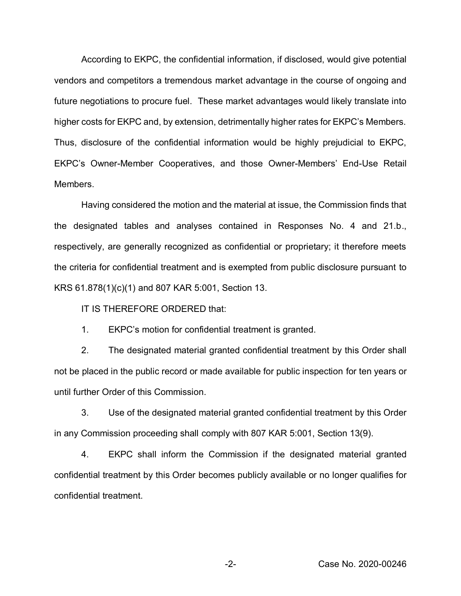According to EKPC, the confidential information, if disclosed, would give potential vendors and competitors a tremendous market advantage in the course of ongoing and future negotiations to procure fuel. These market advantages would likely translate into higher costs for EKPC and, by extension, detrimentally higher rates for EKPC's Members. Thus, disclosure of the confidential information would be highly prejudicial to EKPC, EKPC's Owner-Member Cooperatives, and those Owner-Members' End-Use Retail Members.

Having considered the motion and the material at issue, the Commission finds that the designated tables and analyses contained in Responses No. 4 and 21.b., respectively, are generally recognized as confidential or proprietary; it therefore meets the criteria for confidential treatment and is exempted from public disclosure pursuant to KRS 61.878(1)(c)(1) and 807 KAR 5:001, Section 13.

IT IS THEREFORE ORDERED that:

1. EKPC's motion for confidential treatment is granted.

2. The designated material granted confidential treatment by this Order shall not be placed in the public record or made available for public inspection for ten years or until further Order of this Commission.

3. Use of the designated material granted confidential treatment by this Order in any Commission proceeding shall comply with 807 KAR 5:001, Section 13(9).

4. EKPC shall inform the Commission if the designated material granted confidential treatment by this Order becomes publicly available or no longer qualifies for confidential treatment.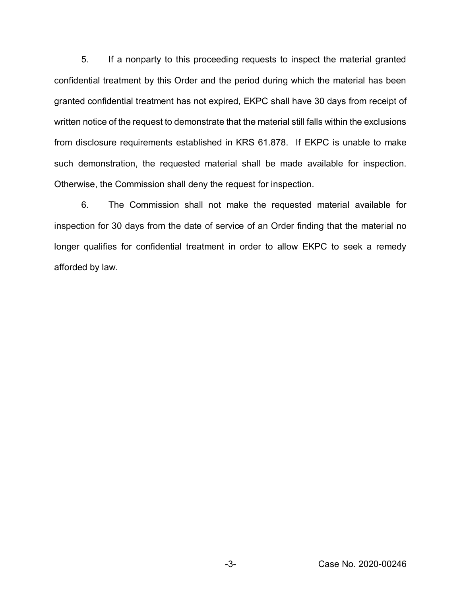5. If a nonparty to this proceeding requests to inspect the material granted confidential treatment by this Order and the period during which the material has been granted confidential treatment has not expired, EKPC shall have 30 days from receipt of written notice of the request to demonstrate that the material still falls within the exclusions from disclosure requirements established in KRS 61.878. If EKPC is unable to make such demonstration, the requested material shall be made available for inspection. Otherwise, the Commission shall deny the request for inspection.

6. The Commission shall not make the requested material available for inspection for 30 days from the date of service of an Order finding that the material no longer qualifies for confidential treatment in order to allow EKPC to seek a remedy afforded by law.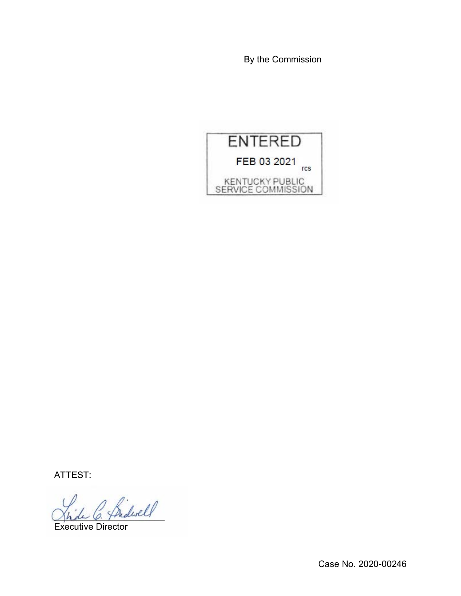By the Commission



ATTEST:

\_\_\_\_\_\_\_\_\_\_\_\_\_\_\_\_\_\_\_\_\_\_

Executive Director

Case No. 2020-00246